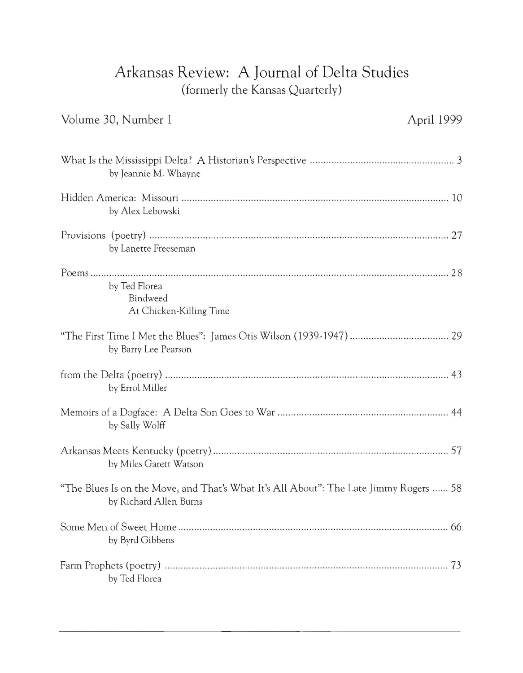## **Arkansas Review: A Journal of Delta Studies**  (formerly the Kansas Quarterly)

| Volume 30, Number 1                                                                                             | April 1999 |
|-----------------------------------------------------------------------------------------------------------------|------------|
| by Jeannie M. Whayne                                                                                            |            |
| by Alex Lebowski                                                                                                |            |
| by Lanette Freeseman                                                                                            |            |
| by Ted Florea<br>Bindweed<br>At Chicken-Killing Time                                                            |            |
| by Barry Lee Pearson                                                                                            |            |
| by Errol Miller                                                                                                 |            |
| by Sally Wolff                                                                                                  |            |
| by Miles Garett Watson                                                                                          |            |
| "The Blues Is on the Move, and That's What It's All About": The Late Jimmy Rogers  58<br>by Richard Allen Burns |            |
| by Byrd Gibbens                                                                                                 | 66         |
| by Ted Florea                                                                                                   |            |